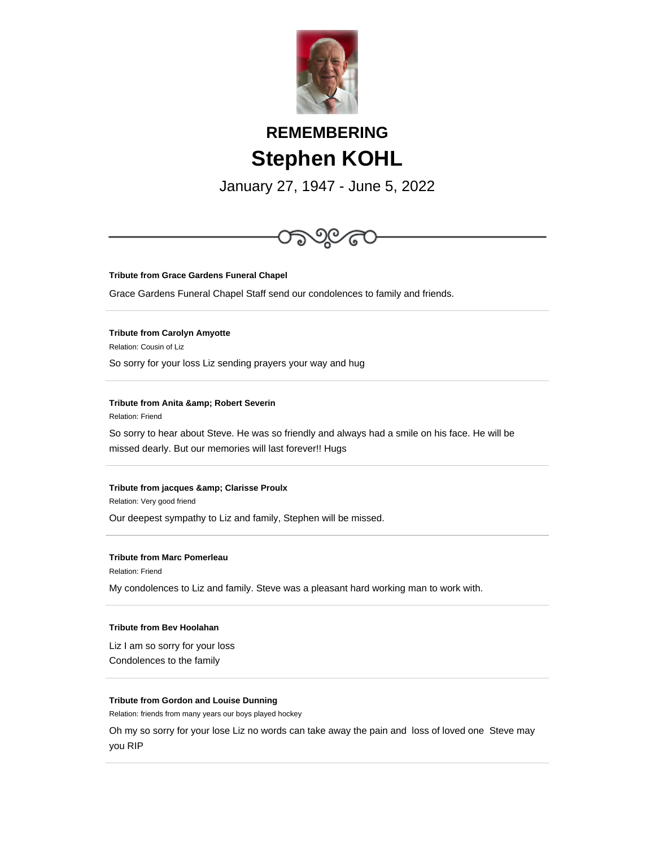

# **REMEMBERING Stephen KOHL**

January 27, 1947 - June 5, 2022



**Tribute from Grace Gardens Funeral Chapel**

Grace Gardens Funeral Chapel Staff send our condolences to family and friends.

**Tribute from Carolyn Amyotte**

Relation: Cousin of Liz

So sorry for your loss Liz sending prayers your way and hug

**Tribute from Anita & amp; Robert Severin** 

Relation: Friend

So sorry to hear about Steve. He was so friendly and always had a smile on his face. He will be missed dearly. But our memories will last forever!! Hugs

## **Tribute from jacques & amp; Clarisse Proulx**

Relation: Very good friend

Our deepest sympathy to Liz and family, Stephen will be missed.

## **Tribute from Marc Pomerleau**

Relation: Friend

My condolences to Liz and family. Steve was a pleasant hard working man to work with.

## **Tribute from Bev Hoolahan**

Liz I am so sorry for your loss Condolences to the family

## **Tribute from Gordon and Louise Dunning**

Relation: friends from many years our boys played hockey

Oh my so sorry for your lose Liz no words can take away the pain and loss of loved one Steve may you RIP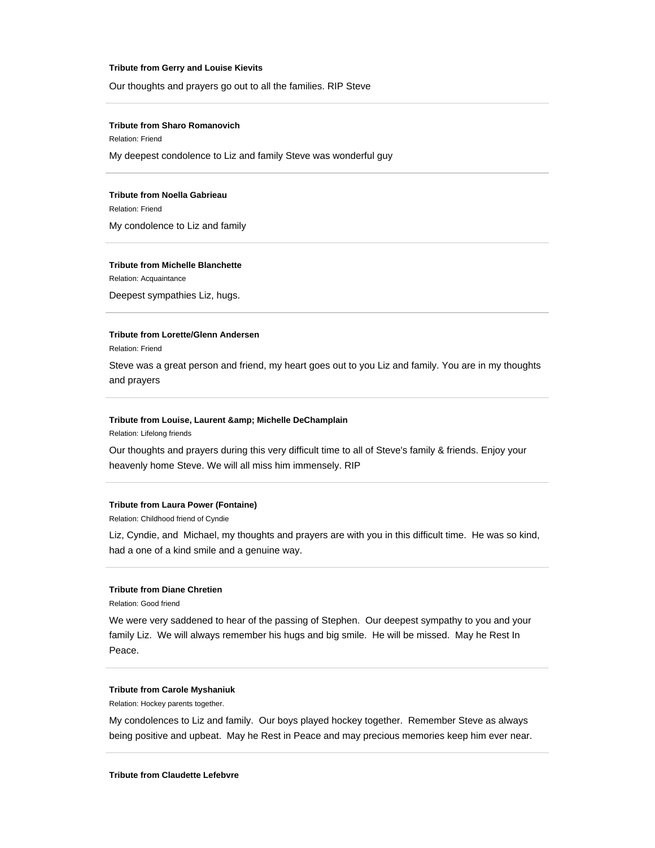#### **Tribute from Gerry and Louise Kievits**

Our thoughts and prayers go out to all the families. RIP Steve

## **Tribute from Sharo Romanovich**

Relation: Friend

My deepest condolence to Liz and family Steve was wonderful guy

## **Tribute from Noella Gabrieau**

Relation: Friend My condolence to Liz and family

## **Tribute from Michelle Blanchette**

Relation: Acquaintance Deepest sympathies Liz, hugs.

# **Tribute from Lorette/Glenn Andersen**

Relation: Friend

Steve was a great person and friend, my heart goes out to you Liz and family. You are in my thoughts and prayers

## **Tribute from Louise, Laurent & amp; Michelle DeChamplain**

Relation: Lifelong friends

Our thoughts and prayers during this very difficult time to all of Steve's family & friends. Enjoy your heavenly home Steve. We will all miss him immensely. RIP

# **Tribute from Laura Power (Fontaine)**

Relation: Childhood friend of Cyndie

Liz, Cyndie, and Michael, my thoughts and prayers are with you in this difficult time. He was so kind, had a one of a kind smile and a genuine way.

## **Tribute from Diane Chretien**

Relation: Good friend

We were very saddened to hear of the passing of Stephen. Our deepest sympathy to you and your family Liz. We will always remember his hugs and big smile. He will be missed. May he Rest In Peace.

# **Tribute from Carole Myshaniuk**

Relation: Hockey parents together.

My condolences to Liz and family. Our boys played hockey together. Remember Steve as always being positive and upbeat. May he Rest in Peace and may precious memories keep him ever near.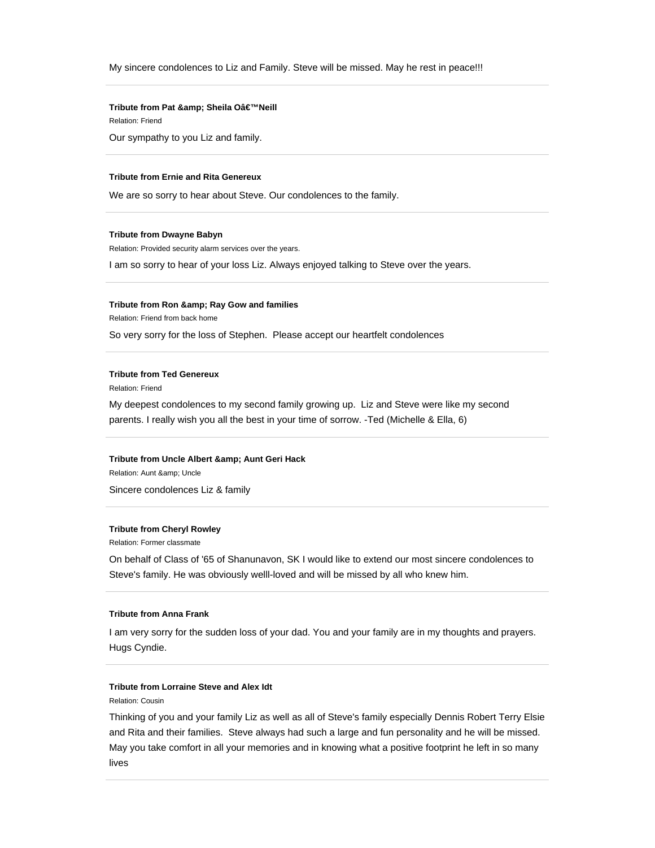## **Tribute from Pat & Sheila O'Neill**

Relation: Friend

Our sympathy to you Liz and family.

# **Tribute from Ernie and Rita Genereux**

We are so sorry to hear about Steve. Our condolences to the family.

#### **Tribute from Dwayne Babyn**

Relation: Provided security alarm services over the years.

I am so sorry to hear of your loss Liz. Always enjoyed talking to Steve over the years.

#### **Tribute from Ron & amp; Ray Gow and families**

Relation: Friend from back home

So very sorry for the loss of Stephen. Please accept our heartfelt condolences

## **Tribute from Ted Genereux**

Relation: Friend

My deepest condolences to my second family growing up. Liz and Steve were like my second parents. I really wish you all the best in your time of sorrow. -Ted (Michelle & Ella, 6)

## **Tribute from Uncle Albert & amp; Aunt Geri Hack**

Relation: Aunt & amp; Uncle Sincere condolences Liz & family

# **Tribute from Cheryl Rowley**

Relation: Former classmate

On behalf of Class of '65 of Shanunavon, SK I would like to extend our most sincere condolences to Steve's family. He was obviously welll-loved and will be missed by all who knew him.

## **Tribute from Anna Frank**

I am very sorry for the sudden loss of your dad. You and your family are in my thoughts and prayers. Hugs Cyndie.

## **Tribute from Lorraine Steve and Alex Idt**

Relation: Cousin

Thinking of you and your family Liz as well as all of Steve's family especially Dennis Robert Terry Elsie and Rita and their families. Steve always had such a large and fun personality and he will be missed. May you take comfort in all your memories and in knowing what a positive footprint he left in so many lives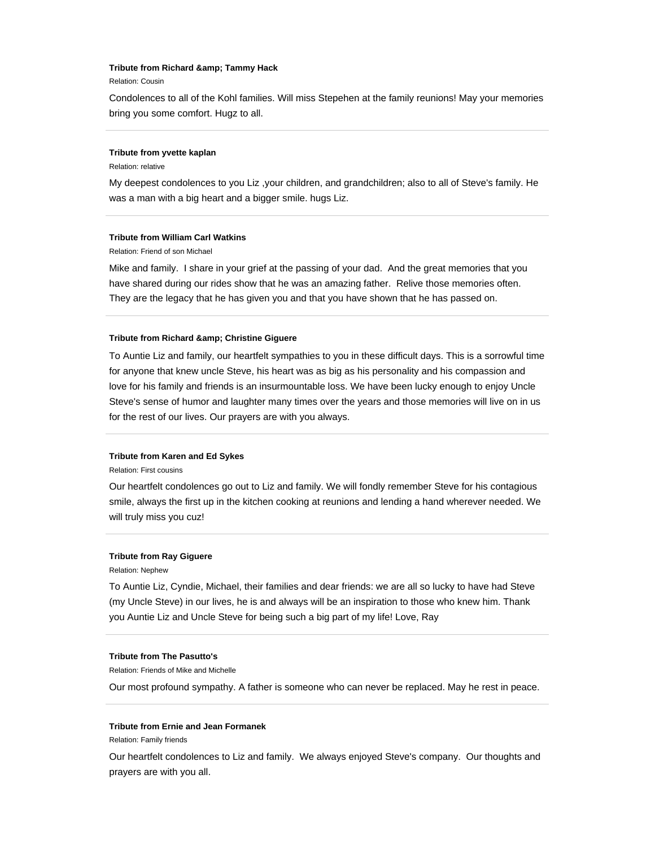## **Tribute from Richard & amp; Tammy Hack**

Relation: Cousin

Condolences to all of the Kohl families. Will miss Stepehen at the family reunions! May your memories bring you some comfort. Hugz to all.

#### **Tribute from yvette kaplan**

Relation: relative

My deepest condolences to you Liz ,your children, and grandchildren; also to all of Steve's family. He was a man with a big heart and a bigger smile. hugs Liz.

## **Tribute from William Carl Watkins**

Relation: Friend of son Michael

Mike and family. I share in your grief at the passing of your dad. And the great memories that you have shared during our rides show that he was an amazing father. Relive those memories often. They are the legacy that he has given you and that you have shown that he has passed on.

#### **Tribute from Richard & amp; Christine Giguere**

To Auntie Liz and family, our heartfelt sympathies to you in these difficult days. This is a sorrowful time for anyone that knew uncle Steve, his heart was as big as his personality and his compassion and love for his family and friends is an insurmountable loss. We have been lucky enough to enjoy Uncle Steve's sense of humor and laughter many times over the years and those memories will live on in us for the rest of our lives. Our prayers are with you always.

## **Tribute from Karen and Ed Sykes**

Relation: First cousins

Our heartfelt condolences go out to Liz and family. We will fondly remember Steve for his contagious smile, always the first up in the kitchen cooking at reunions and lending a hand wherever needed. We will truly miss you cuz!

#### **Tribute from Ray Giguere**

Relation: Nephew

To Auntie Liz, Cyndie, Michael, their families and dear friends: we are all so lucky to have had Steve (my Uncle Steve) in our lives, he is and always will be an inspiration to those who knew him. Thank you Auntie Liz and Uncle Steve for being such a big part of my life! Love, Ray

## **Tribute from The Pasutto's**

Relation: Friends of Mike and Michelle

Our most profound sympathy. A father is someone who can never be replaced. May he rest in peace.

#### **Tribute from Ernie and Jean Formanek**

Relation: Family friends

Our heartfelt condolences to Liz and family. We always enjoyed Steve's company. Our thoughts and prayers are with you all.